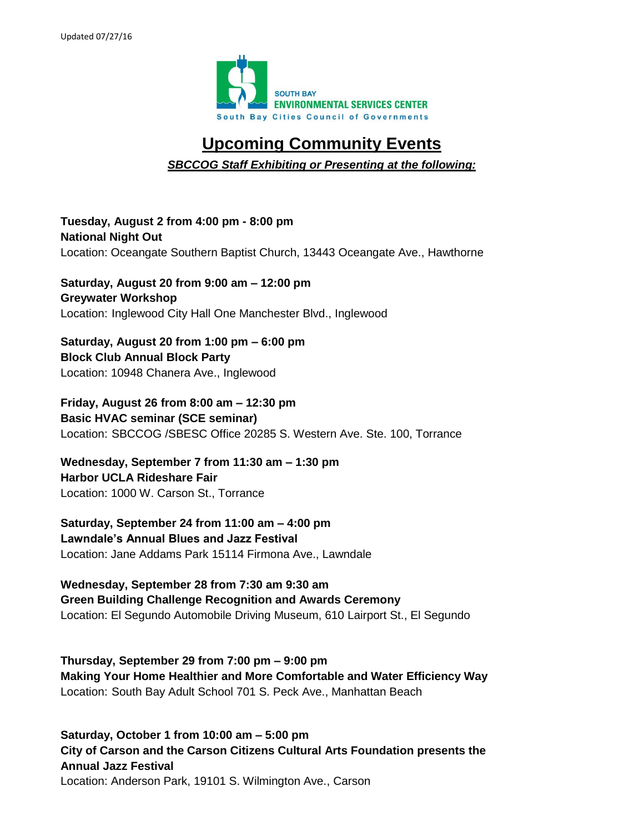

# **Upcoming Community Events**

*SBCCOG Staff Exhibiting or Presenting at the following:*

**Tuesday, August 2 from 4:00 pm - 8:00 pm National Night Out** Location: Oceangate Southern Baptist Church, 13443 Oceangate Ave., Hawthorne

**Saturday, August 20 from 9:00 am – 12:00 pm Greywater Workshop** Location: Inglewood City Hall One Manchester Blvd., Inglewood

**Saturday, August 20 from 1:00 pm – 6:00 pm Block Club Annual Block Party** Location: 10948 Chanera Ave., Inglewood

**Friday, August 26 from 8:00 am – 12:30 pm Basic HVAC seminar (SCE seminar)** Location: SBCCOG /SBESC Office 20285 S. Western Ave. Ste. 100, Torrance

**Wednesday, September 7 from 11:30 am – 1:30 pm Harbor UCLA Rideshare Fair** Location: 1000 W. Carson St., Torrance

**Saturday, September 24 from 11:00 am – 4:00 pm Lawndale's Annual Blues and Jazz Festival** Location: Jane Addams Park 15114 Firmona Ave., Lawndale

**Wednesday, September 28 from 7:30 am 9:30 am Green Building Challenge Recognition and Awards Ceremony**  Location: El Segundo Automobile Driving Museum, 610 Lairport St., El Segundo

**Thursday, September 29 from 7:00 pm – 9:00 pm Making Your Home Healthier and More Comfortable and Water Efficiency Way** Location: South Bay Adult School 701 S. Peck Ave., Manhattan Beach

**Saturday, October 1 from 10:00 am – 5:00 pm City of Carson and the Carson Citizens Cultural Arts Foundation presents the Annual Jazz Festival**  Location: Anderson Park, 19101 S. Wilmington Ave., Carson